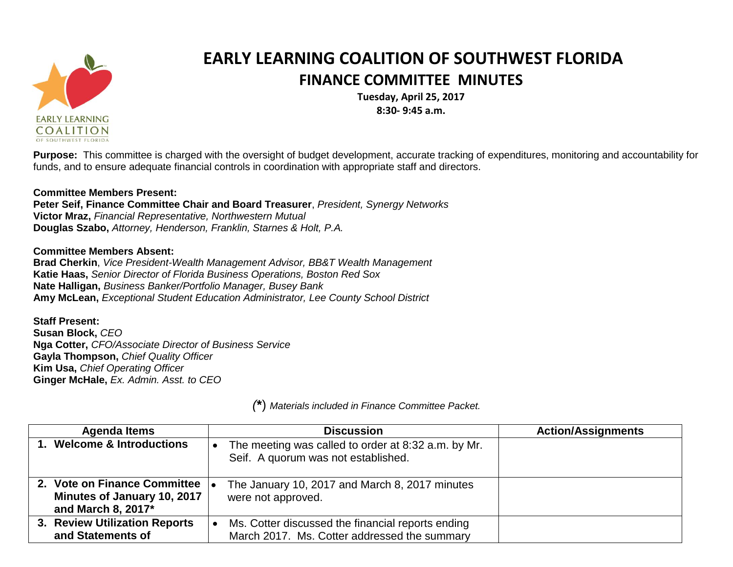

## **EARLY LEARNING COALITION OF SOUTHWEST FLORIDA FINANCE COMMITTEE MINUTES**

**Tuesday, April 25, 2017 8:30- 9:45 a.m.**

**Purpose:** This committee is charged with the oversight of budget development, accurate tracking of expenditures, monitoring and accountability for funds, and to ensure adequate financial controls in coordination with appropriate staff and directors.

## **Committee Members Present:**

**Peter Seif, Finance Committee Chair and Board Treasurer**, *President, Synergy Networks* **Victor Mraz,** *Financial Representative, Northwestern Mutual* **Douglas Szabo,** *Attorney, Henderson, Franklin, Starnes & Holt, P.A.*

## **Committee Members Absent:**

**Brad Cherkin**, *Vice President-Wealth Management Advisor, BB&T Wealth Management* **Katie Haas,** *Senior Director of Florida Business Operations, Boston Red Sox* **Nate Halligan,** *Business Banker/Portfolio Manager, Busey Bank* **Amy McLean,** *Exceptional Student Education Administrator, Lee County School District*

**Staff Present:**

**Susan Block,** *CEO* **Nga Cotter,** *CFO/Associate Director of Business Service* **Gayla Thompson,** *Chief Quality Officer* **Kim Usa,** *Chief Operating Officer* **Ginger McHale,** *Ex. Admin. Asst. to CEO*

| <b>Agenda Items</b>                                                               | <b>Discussion</b>                                                                                 | <b>Action/Assignments</b> |
|-----------------------------------------------------------------------------------|---------------------------------------------------------------------------------------------------|---------------------------|
| 1. Welcome & Introductions                                                        | The meeting was called to order at 8:32 a.m. by Mr.<br>Seif. A quorum was not established.        |                           |
| 2. Vote on Finance Committee<br>Minutes of January 10, 2017<br>and March 8, 2017* | The January 10, 2017 and March 8, 2017 minutes<br>were not approved.                              |                           |
| 3. Review Utilization Reports<br>and Statements of                                | Ms. Cotter discussed the financial reports ending<br>March 2017. Ms. Cotter addressed the summary |                           |

*(***\***) *Materials included in Finance Committee Packet.*